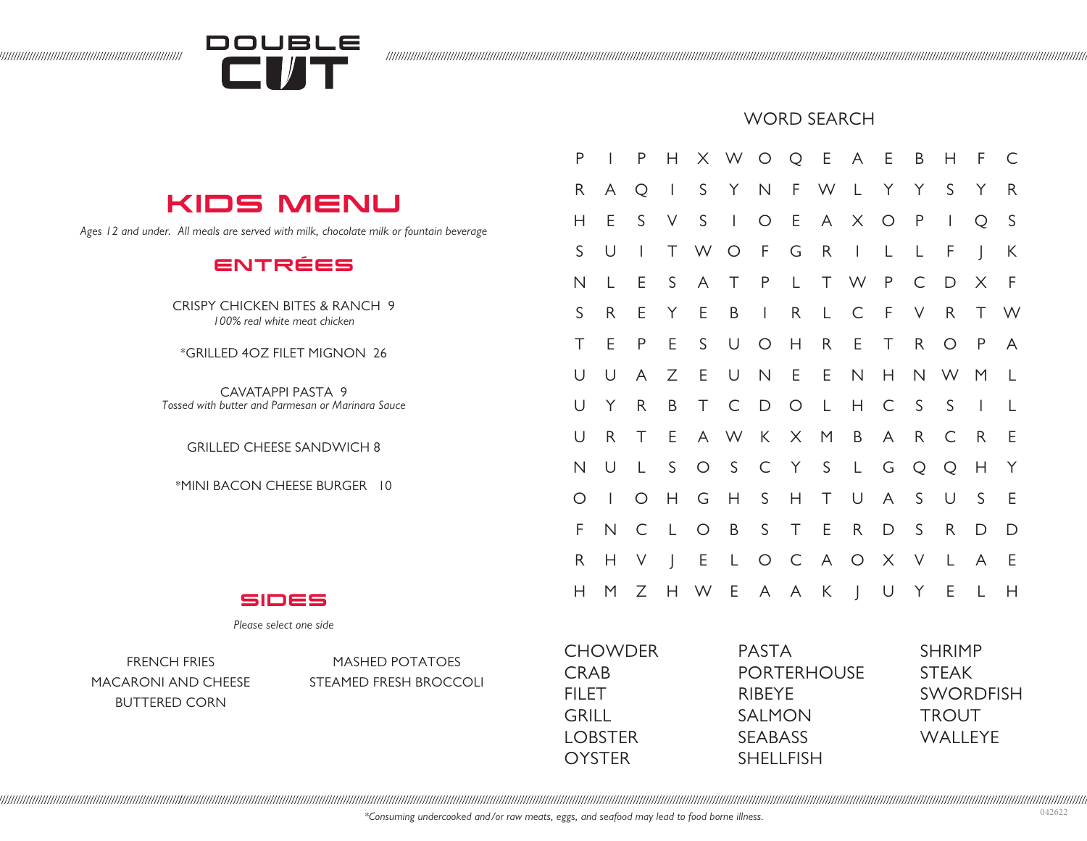

## WORD SEARCH

## KIDS MENU

*Ages 12 and under. All meals are served with milk, chocolate milk or fountain beverage*

## ENTRÉES

CRISPY CHICKEN BITES & RANCH 9 *100% real white meat chicken*

\*GRILLED 4OZ FILET MIGNON 26

CAVATAPPI PASTA 9 *Tossed with butter and Parmesan or Marinara Sauce* 

GRILLED CHEESE SANDWICH 8

\*MINI BACON CHEESE BURGER 10

| P           | $\overline{1}$           | P                              | Н                        |              | X W O Q E A E |              |              |              |              |              | B            | Н                                     | $\mathsf{F}$             | C           |
|-------------|--------------------------|--------------------------------|--------------------------|--------------|---------------|--------------|--------------|--------------|--------------|--------------|--------------|---------------------------------------|--------------------------|-------------|
| R.          | A                        | Q                              | $\overline{\phantom{a}}$ | S            | Y.            | $\mathsf N$  |              | F W L        |              | Y            | Y            | S                                     | Y                        | R           |
| Н           | Ε                        | S                              | V                        | $\mathsf S$  | $\mathbf{L}$  | $\bigcirc$   | E            | A            |              | X O          | $\mathsf{P}$ | $\begin{array}{c} \hline \end{array}$ | Q                        | $\mathsf S$ |
| S           | U                        | $\begin{array}{c} \end{array}$ | Τ                        | W            | $\bigcirc$    | $-F$         | G            | $\mathsf{R}$ | $\mathbf{L}$ | $\mathsf{L}$ | L            | F                                     | $\overline{\phantom{a}}$ | K           |
| N           | L                        | E                              | S                        | $\mathsf{A}$ | T.            | P            | $\mathsf{L}$ |              | T W P        |              | $\subset$    | D                                     | X                        | $\mathsf F$ |
| S           | R                        | Ε                              | Y                        | E            | B             | $\mathbf{L}$ | $\mathsf{R}$ | $\mathsf{L}$ | $\subset$    | $-F$         | V            | $R_{\parallel}$                       | Τ                        | W           |
| Τ           | E                        | P                              | E                        | S            | U             | $\bigcirc$   | H            | $R_{\rm}$    | E            | T            | $\mathsf{R}$ | $\bigcirc$                            | P                        | A           |
| U           | U                        | A                              | Ζ                        | Ε            | $\cup$        | $\mathsf N$  | E            | E            | $\hbox{N}$   | H.           |              | N W                                   | M                        | L           |
| U           | Y                        | R.                             | B                        | T            | C             | $\Box$       | $\bigcirc$   | $\mathsf{L}$ | H.           | C            | S            | $\mathsf S$                           | $\perp$                  | L           |
| U           | R.                       | Τ                              | E                        |              | A W           | K            | $\mathsf{X}$ | M            | B            | A            | $R_{\perp}$  | C                                     | R                        | Ε           |
| $\mathsf N$ | U                        | L                              | S                        |              | $O_S$         | $\subset$    | Y            | S            | $\mathsf{L}$ | G            | Q            | Q                                     | H                        | Y           |
| O           | $\overline{\phantom{a}}$ | $\circ$                        | Н                        | G            | H             | $S_{-}$      | Н            | Τ            | U            | A            | S            | U                                     | S                        | $\mathsf E$ |
| F           | N                        | C                              | $\lfloor$                | $\circ$      | B             | S            | $\top$       | E            | R.           | D            | S            | $\mathsf{R}$                          | D                        | $\mathsf D$ |
| R.          | Н                        | $\vee$                         | $\overline{\phantom{a}}$ | E            | L             | $\circ$      | $\mathsf{C}$ | A            | $\circ$      | X            | $\vee$       | L                                     | A                        | E           |
| Н           | M                        | Ζ                              | Н                        | W            | E             |              | A A K        |              | $\perp$      | U            | Y            | Ε                                     | L                        | Н           |
|             |                          |                                |                          |              |               |              |              |              |              |              |              |                                       |                          |             |

PASTA

RIBEYE SALMON SEABASS SHELL FISH

PORTERHOUSE

SIDES

*Please select one side*

BUTTERED CORN

FRENCH FRIES MASHED POTATOES MACARONI AND CHEESE STEAMED FRESH BROCCOLI

## *\*Consuming undercooked and/or raw meats, eggs, and seafood may lead to food borne illness.*

**CHOWDER** 

CRAB FILET GRILL LOBSTER **OYSTER** 

SHRIMP STEAK

**TROUT** WALLEYE

SWORDFISH